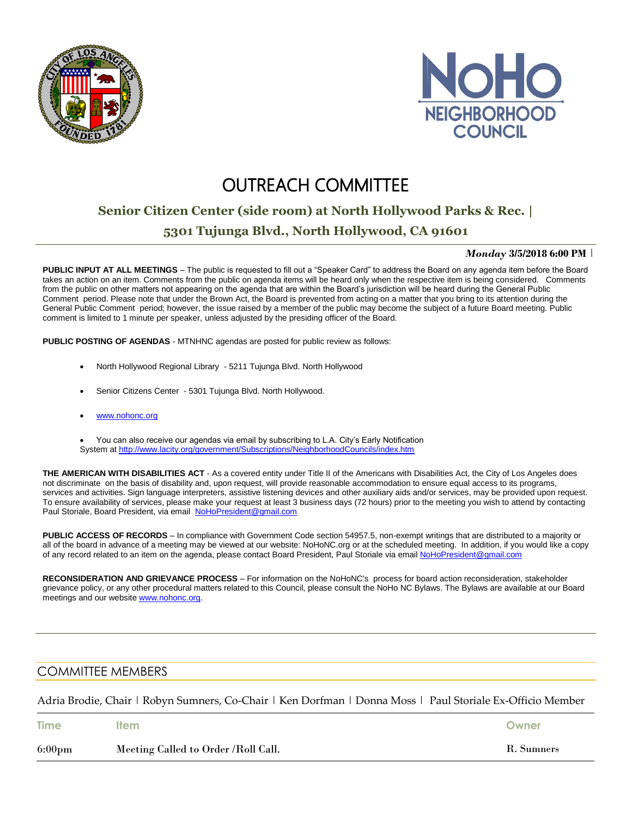



# **OUTREACH COMMITTEE**

## **Senior Citizen Center (side room) at North Hollywood Parks & Rec. |**

### **5301 Tujunga Blvd., North Hollywood, CA 91601**

#### *Monday* **3/5/2018 6:00 PM** |

**PUBLIC INPUT AT ALL MEETINGS** – The public is requested to fill out a "Speaker Card" to address the Board on any agenda item before the Board takes an action on an item. Comments from the public on agenda items will be heard only when the respective item is being considered. Comments from the public on other matters not appearing on the agenda that are within the Board's jurisdiction will be heard during the General Public Comment period. Please note that under the Brown Act, the Board is prevented from acting on a matter that you bring to its attention during the General Public Comment period; however, the issue raised by a member of the public may become the subject of a future Board meeting. Public comment is limited to 1 minute per speaker, unless adjusted by the presiding officer of the Board.

**PUBLIC POSTING OF AGENDAS** - MTNHNC agendas are posted for public review as follows:

- North Hollywood Regional Library 5211 Tujunga Blvd. North Hollywood
- Senior Citizens Center 5301 Tujunga Blvd. North Hollywood.
- [www.nohonc.org](http://www.nohonc.org/)

 You can also receive our agendas via email by subscribing to L.A. City's Early Notification System at <http://www.lacity.org/government/Subscriptions/NeighborhoodCouncils/index.htm>

**THE AMERICAN WITH DISABILITIES ACT** - As a covered entity under Title II of the Americans with Disabilities Act, the City of Los Angeles does not discriminate on the basis of disability and, upon request, will provide reasonable accommodation to ensure equal access to its programs, services and activities. Sign language interpreters, assistive listening devices and other auxiliary aids and/or services, may be provided upon request. To ensure availability of services, please make your request at least 3 business days (72 hours) prior to the meeting you wish to attend by contacting Paul Storiale, Board President, via email [NoHoPresident@gmail.com](mailto:NoHoPresident@gmail.com)

**PUBLIC ACCESS OF RECORDS** – In compliance with Government Code section 54957.5, non-exempt writings that are distributed to a majority or all of the board in advance of a meeting may be viewed at our website: NoHoNC.org or at the scheduled meeting. In addition, if you would like a copy of any record related to an item on the agenda, please contact Board President, Paul Storiale via email [NoHoPresident@gmail.com](mailto:NoHoPresident@gmail.com)

**RECONSIDERATION AND GRIEVANCE PROCESS** – For information on the NoHoNC's process for board action reconsideration, stakeholder grievance policy, or any other procedural matters related to this Council, please consult the NoHo NC Bylaws. The Bylaws are available at our Board meetings and our website [www.nohonc.org.](http://www.nohonc.org/)

### COMMITTEE MEMBERS

Adria Brodie, Chair | Robyn Sumners, Co-Chair | Ken Dorfman | Donna Moss | Paul Storiale Ex-Officio Member

| <b>Time</b>      | <b>Item</b>                         | Owner      |
|------------------|-------------------------------------|------------|
| $6:00 \text{pm}$ | Meeting Called to Order /Roll Call. | R. Sumners |